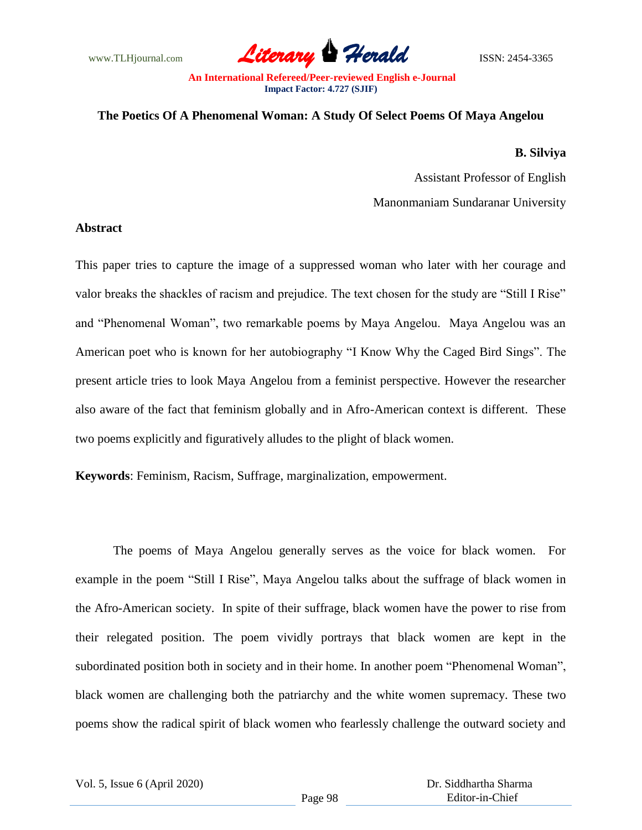

## **The Poetics Of A Phenomenal Woman: A Study Of Select Poems Of Maya Angelou**

**B. Silviya**

Assistant Professor of English Manonmaniam Sundaranar University

## **Abstract**

This paper tries to capture the image of a suppressed woman who later with her courage and valor breaks the shackles of racism and prejudice. The text chosen for the study are "Still I Rise" and "Phenomenal Woman", two remarkable poems by Maya Angelou. Maya Angelou was an American poet who is known for her autobiography "I Know Why the Caged Bird Sings". The present article tries to look Maya Angelou from a feminist perspective. However the researcher also aware of the fact that feminism globally and in Afro-American context is different. These two poems explicitly and figuratively alludes to the plight of black women.

**Keywords**: Feminism, Racism, Suffrage, marginalization, empowerment.

The poems of Maya Angelou generally serves as the voice for black women. For example in the poem "Still I Rise", Maya Angelou talks about the suffrage of black women in the Afro-American society. In spite of their suffrage, black women have the power to rise from their relegated position. The poem vividly portrays that black women are kept in the subordinated position both in society and in their home. In another poem "Phenomenal Woman", black women are challenging both the patriarchy and the white women supremacy. These two poems show the radical spirit of black women who fearlessly challenge the outward society and

Vol. 5, Issue 6 (April 2020)

 Dr. Siddhartha Sharma Editor-in-Chief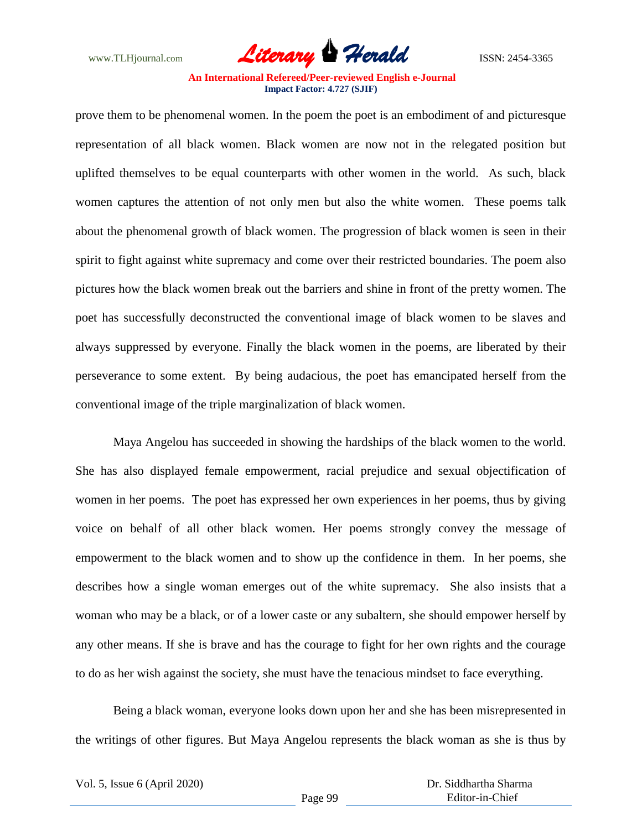

prove them to be phenomenal women. In the poem the poet is an embodiment of and picturesque representation of all black women. Black women are now not in the relegated position but uplifted themselves to be equal counterparts with other women in the world. As such, black women captures the attention of not only men but also the white women. These poems talk about the phenomenal growth of black women. The progression of black women is seen in their spirit to fight against white supremacy and come over their restricted boundaries. The poem also pictures how the black women break out the barriers and shine in front of the pretty women. The poet has successfully deconstructed the conventional image of black women to be slaves and always suppressed by everyone. Finally the black women in the poems, are liberated by their perseverance to some extent. By being audacious, the poet has emancipated herself from the conventional image of the triple marginalization of black women.

Maya Angelou has succeeded in showing the hardships of the black women to the world. She has also displayed female empowerment, racial prejudice and sexual objectification of women in her poems. The poet has expressed her own experiences in her poems, thus by giving voice on behalf of all other black women. Her poems strongly convey the message of empowerment to the black women and to show up the confidence in them. In her poems, she describes how a single woman emerges out of the white supremacy. She also insists that a woman who may be a black, or of a lower caste or any subaltern, she should empower herself by any other means. If she is brave and has the courage to fight for her own rights and the courage to do as her wish against the society, she must have the tenacious mindset to face everything.

Being a black woman, everyone looks down upon her and she has been misrepresented in the writings of other figures. But Maya Angelou represents the black woman as she is thus by

 Dr. Siddhartha Sharma Editor-in-Chief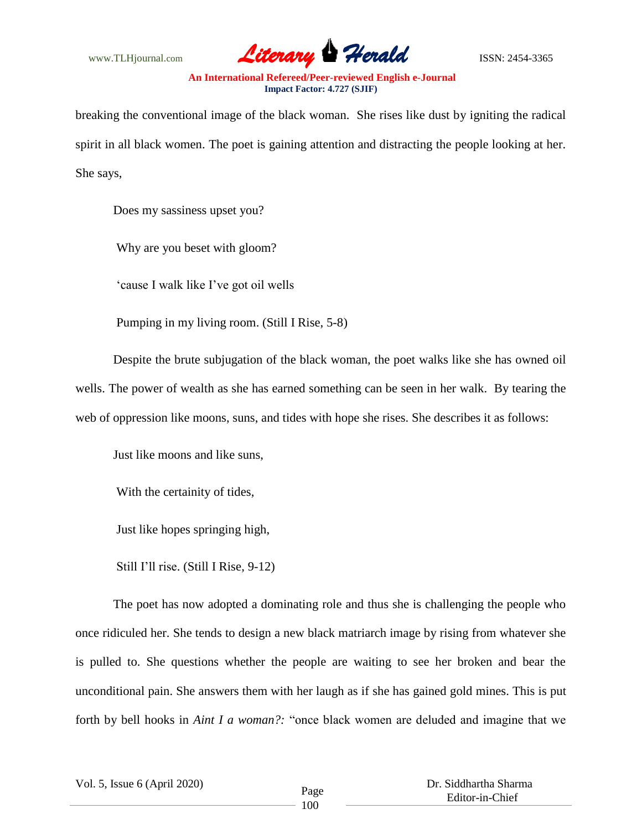

breaking the conventional image of the black woman. She rises like dust by igniting the radical spirit in all black women. The poet is gaining attention and distracting the people looking at her. She says,

Does my sassiness upset you?

Why are you beset with gloom?

'cause I walk like I've got oil wells

Pumping in my living room. (Still I Rise, 5-8)

Despite the brute subjugation of the black woman, the poet walks like she has owned oil wells. The power of wealth as she has earned something can be seen in her walk. By tearing the web of oppression like moons, suns, and tides with hope she rises. She describes it as follows:

Just like moons and like suns,

With the certainity of tides,

Just like hopes springing high,

Still I"ll rise. (Still I Rise, 9-12)

The poet has now adopted a dominating role and thus she is challenging the people who once ridiculed her. She tends to design a new black matriarch image by rising from whatever she is pulled to. She questions whether the people are waiting to see her broken and bear the unconditional pain. She answers them with her laugh as if she has gained gold mines. This is put forth by bell hooks in *Aint I a woman?:* "once black women are deluded and imagine that we

Vol. 5, Issue 6 (April 2020) Page

 Dr. Siddhartha Sharma Editor-in-Chief

100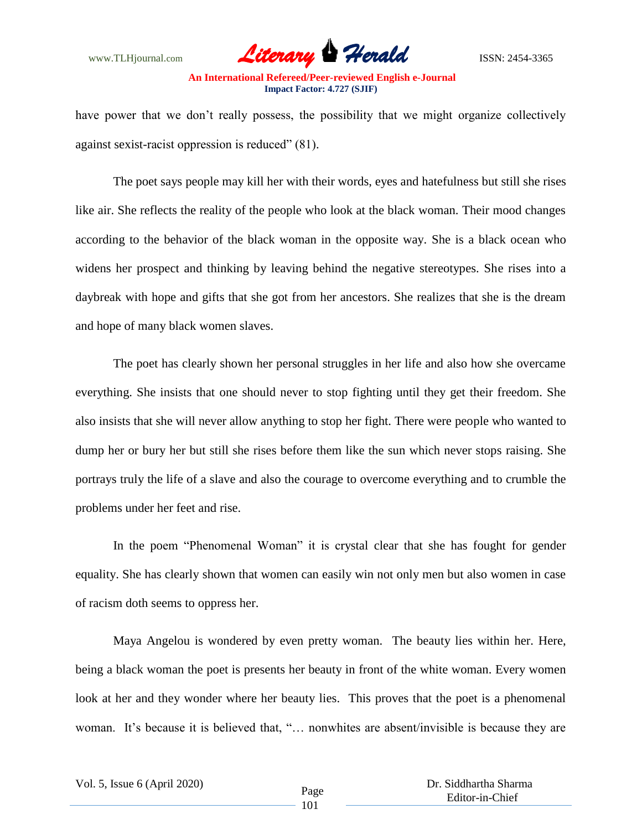

have power that we don't really possess, the possibility that we might organize collectively against sexist-racist oppression is reduced" (81).

The poet says people may kill her with their words, eyes and hatefulness but still she rises like air. She reflects the reality of the people who look at the black woman. Their mood changes according to the behavior of the black woman in the opposite way. She is a black ocean who widens her prospect and thinking by leaving behind the negative stereotypes. She rises into a daybreak with hope and gifts that she got from her ancestors. She realizes that she is the dream and hope of many black women slaves.

The poet has clearly shown her personal struggles in her life and also how she overcame everything. She insists that one should never to stop fighting until they get their freedom. She also insists that she will never allow anything to stop her fight. There were people who wanted to dump her or bury her but still she rises before them like the sun which never stops raising. She portrays truly the life of a slave and also the courage to overcome everything and to crumble the problems under her feet and rise.

In the poem "Phenomenal Woman" it is crystal clear that she has fought for gender equality. She has clearly shown that women can easily win not only men but also women in case of racism doth seems to oppress her.

Maya Angelou is wondered by even pretty woman. The beauty lies within her. Here, being a black woman the poet is presents her beauty in front of the white woman. Every women look at her and they wonder where her beauty lies. This proves that the poet is a phenomenal woman. It's because it is believed that, "... nonwhites are absent/invisible is because they are

Vol. 5, Issue 6 (April 2020) Page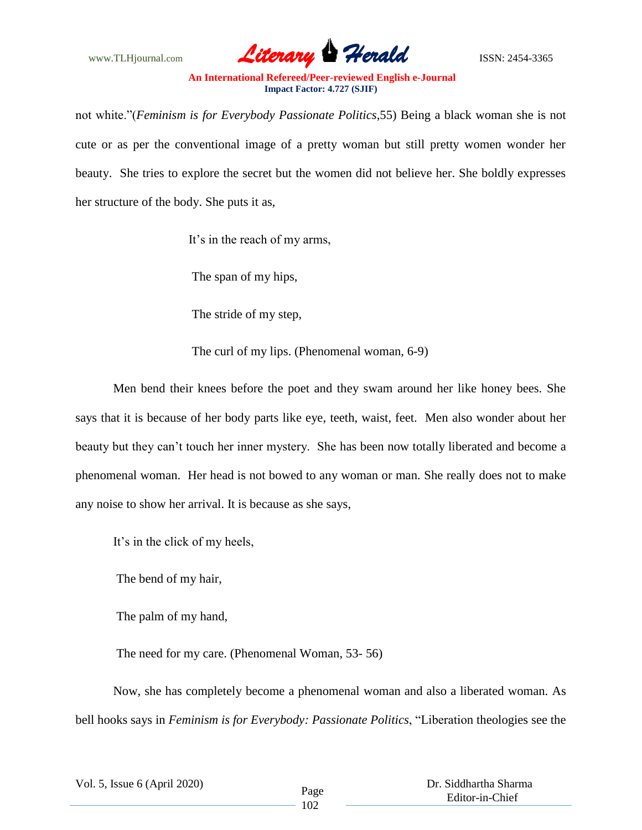

not white."(*Feminism is for Everybody Passionate Politics*,55) Being a black woman she is not cute or as per the conventional image of a pretty woman but still pretty women wonder her beauty. She tries to explore the secret but the women did not believe her. She boldly expresses her structure of the body. She puts it as,

It's in the reach of my arms,

The span of my hips,

The stride of my step,

The curl of my lips. (Phenomenal woman, 6-9)

Men bend their knees before the poet and they swam around her like honey bees. She says that it is because of her body parts like eye, teeth, waist, feet. Men also wonder about her beauty but they can"t touch her inner mystery. She has been now totally liberated and become a phenomenal woman. Her head is not bowed to any woman or man. She really does not to make any noise to show her arrival. It is because as she says,

It"s in the click of my heels,

The bend of my hair,

The palm of my hand,

The need for my care. (Phenomenal Woman, 53- 56)

Now, she has completely become a phenomenal woman and also a liberated woman. As bell hooks says in *Feminism is for Everybody: Passionate Politics*, "Liberation theologies see the

| Vol. 5, Issue 6 (April 2020) |      | Dr. Siddhartha Sharma |
|------------------------------|------|-----------------------|
|                              | Page | Editor-in-Chief       |
|                              | 102  |                       |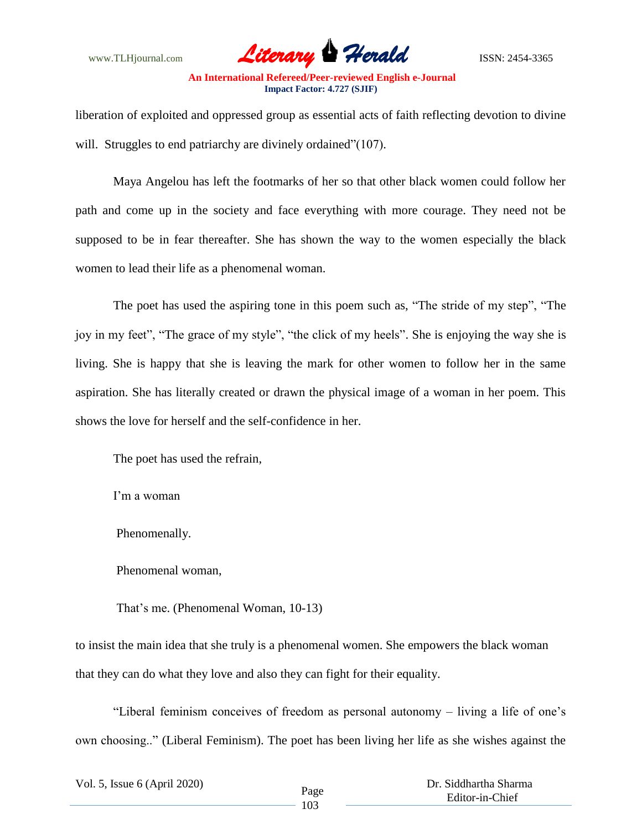

liberation of exploited and oppressed group as essential acts of faith reflecting devotion to divine will. Struggles to end patriarchy are divinely ordained" (107).

Maya Angelou has left the footmarks of her so that other black women could follow her path and come up in the society and face everything with more courage. They need not be supposed to be in fear thereafter. She has shown the way to the women especially the black women to lead their life as a phenomenal woman.

The poet has used the aspiring tone in this poem such as, "The stride of my step", "The joy in my feet", "The grace of my style", "the click of my heels". She is enjoying the way she is living. She is happy that she is leaving the mark for other women to follow her in the same aspiration. She has literally created or drawn the physical image of a woman in her poem. This shows the love for herself and the self-confidence in her.

The poet has used the refrain,

I"m a woman

Phenomenally.

Phenomenal woman,

That's me. (Phenomenal Woman, 10-13)

to insist the main idea that she truly is a phenomenal women. She empowers the black woman that they can do what they love and also they can fight for their equality.

"Liberal feminism conceives of freedom as personal autonomy – living a life of one"s own choosing.." (Liberal Feminism). The poet has been living her life as she wishes against the

| Vol. 5, Issue 6 (April 2020) |      | Dr. Siddhartha Sharma |
|------------------------------|------|-----------------------|
|                              | Page | Editor-in-Chief       |
|                              | 103  |                       |